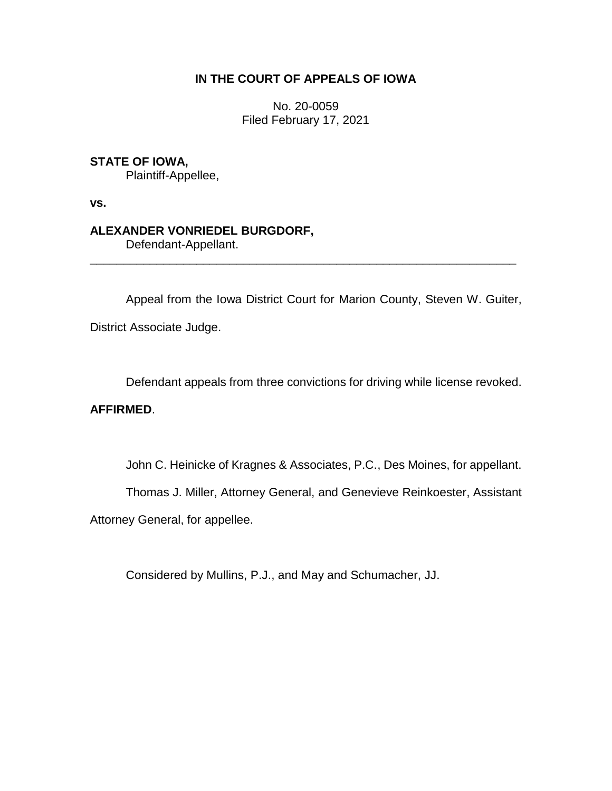# **IN THE COURT OF APPEALS OF IOWA**

No. 20-0059 Filed February 17, 2021

# **STATE OF IOWA,**

Plaintiff-Appellee,

**vs.**

# **ALEXANDER VONRIEDEL BURGDORF,**

Defendant-Appellant.

Appeal from the Iowa District Court for Marion County, Steven W. Guiter, District Associate Judge.

\_\_\_\_\_\_\_\_\_\_\_\_\_\_\_\_\_\_\_\_\_\_\_\_\_\_\_\_\_\_\_\_\_\_\_\_\_\_\_\_\_\_\_\_\_\_\_\_\_\_\_\_\_\_\_\_\_\_\_\_\_\_\_\_

Defendant appeals from three convictions for driving while license revoked.

# **AFFIRMED**.

John C. Heinicke of Kragnes & Associates, P.C., Des Moines, for appellant.

Thomas J. Miller, Attorney General, and Genevieve Reinkoester, Assistant

Attorney General, for appellee.

Considered by Mullins, P.J., and May and Schumacher, JJ.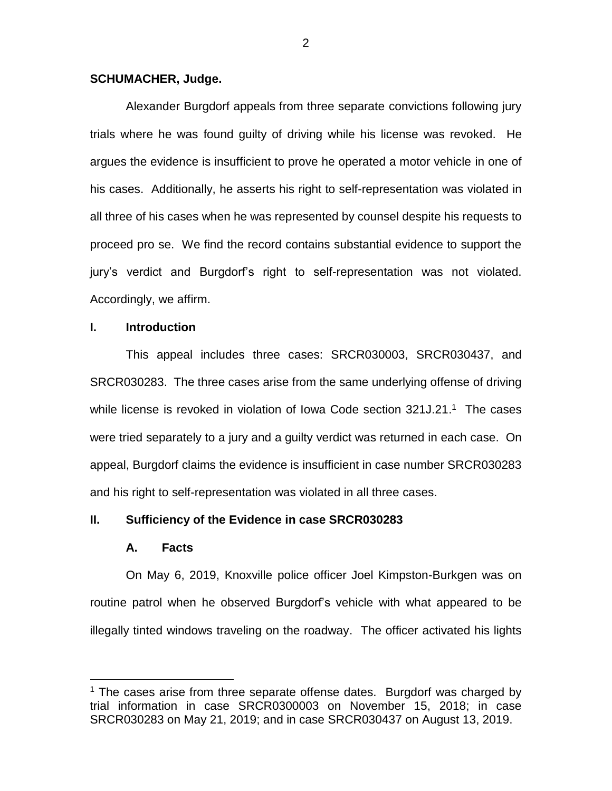### **SCHUMACHER, Judge.**

Alexander Burgdorf appeals from three separate convictions following jury trials where he was found guilty of driving while his license was revoked. He argues the evidence is insufficient to prove he operated a motor vehicle in one of his cases. Additionally, he asserts his right to self-representation was violated in all three of his cases when he was represented by counsel despite his requests to proceed pro se. We find the record contains substantial evidence to support the jury's verdict and Burgdorf's right to self-representation was not violated. Accordingly, we affirm.

### **I. Introduction**

This appeal includes three cases: SRCR030003, SRCR030437, and SRCR030283. The three cases arise from the same underlying offense of driving while license is revoked in violation of Iowa Code section 321J.21.<sup>1</sup> The cases were tried separately to a jury and a guilty verdict was returned in each case. On appeal, Burgdorf claims the evidence is insufficient in case number SRCR030283 and his right to self-representation was violated in all three cases.

### **II. Sufficiency of the Evidence in case SRCR030283**

### **A. Facts**

 $\overline{a}$ 

On May 6, 2019, Knoxville police officer Joel Kimpston-Burkgen was on routine patrol when he observed Burgdorf's vehicle with what appeared to be illegally tinted windows traveling on the roadway. The officer activated his lights

<sup>&</sup>lt;sup>1</sup> The cases arise from three separate offense dates. Burgdorf was charged by trial information in case SRCR0300003 on November 15, 2018; in case SRCR030283 on May 21, 2019; and in case SRCR030437 on August 13, 2019.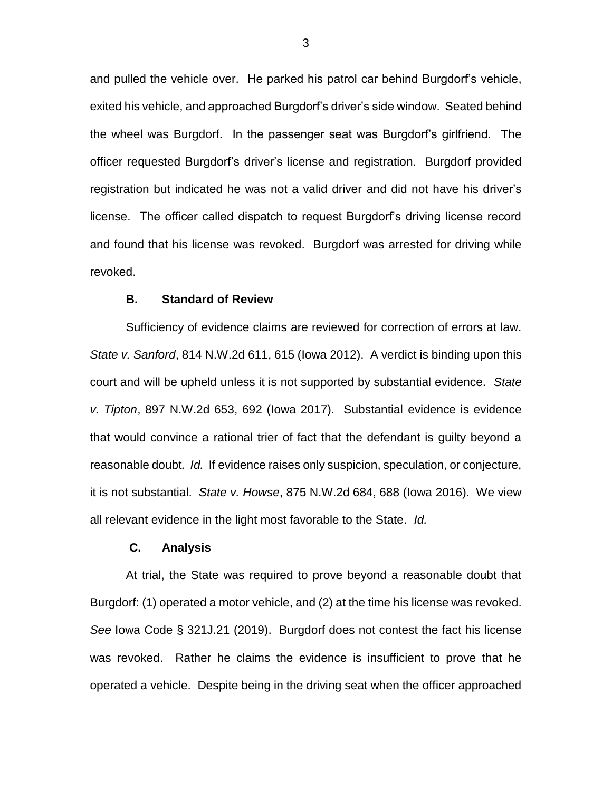and pulled the vehicle over. He parked his patrol car behind Burgdorf's vehicle, exited his vehicle, and approached Burgdorf's driver's side window. Seated behind the wheel was Burgdorf. In the passenger seat was Burgdorf's girlfriend. The officer requested Burgdorf's driver's license and registration. Burgdorf provided registration but indicated he was not a valid driver and did not have his driver's license. The officer called dispatch to request Burgdorf's driving license record and found that his license was revoked. Burgdorf was arrested for driving while revoked.

### **B. Standard of Review**

Sufficiency of evidence claims are reviewed for correction of errors at law. *State v. Sanford*, 814 N.W.2d 611, 615 (Iowa 2012). A verdict is binding upon this court and will be upheld unless it is not supported by substantial evidence. *State v. Tipton*, 897 N.W.2d 653, 692 (Iowa 2017). Substantial evidence is evidence that would convince a rational trier of fact that the defendant is guilty beyond a reasonable doubt*. Id.* If evidence raises only suspicion, speculation, or conjecture, it is not substantial. *State v. Howse*, 875 N.W.2d 684, 688 (Iowa 2016). We view all relevant evidence in the light most favorable to the State. *Id.*

### **C. Analysis**

At trial, the State was required to prove beyond a reasonable doubt that Burgdorf: (1) operated a motor vehicle, and (2) at the time his license was revoked. *See* Iowa Code § 321J.21 (2019). Burgdorf does not contest the fact his license was revoked. Rather he claims the evidence is insufficient to prove that he operated a vehicle. Despite being in the driving seat when the officer approached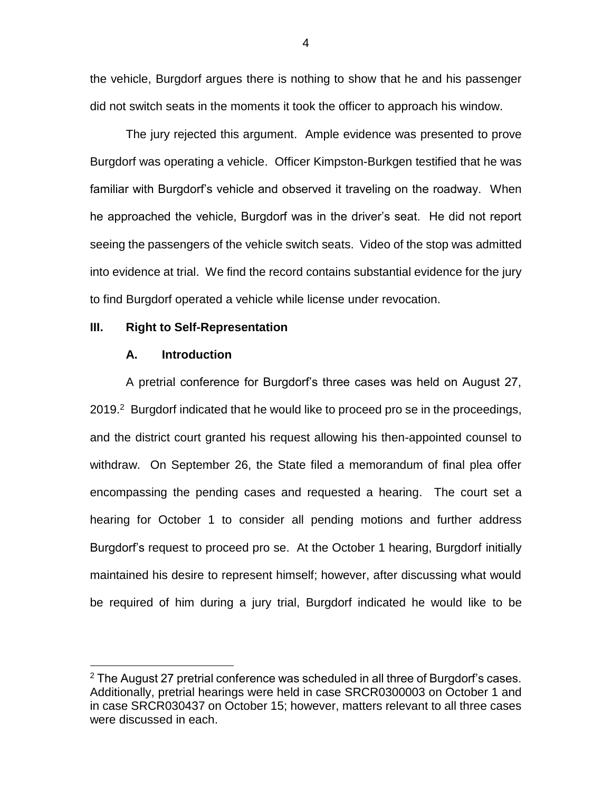the vehicle, Burgdorf argues there is nothing to show that he and his passenger did not switch seats in the moments it took the officer to approach his window.

The jury rejected this argument. Ample evidence was presented to prove Burgdorf was operating a vehicle. Officer Kimpston-Burkgen testified that he was familiar with Burgdorf's vehicle and observed it traveling on the roadway. When he approached the vehicle, Burgdorf was in the driver's seat. He did not report seeing the passengers of the vehicle switch seats. Video of the stop was admitted into evidence at trial. We find the record contains substantial evidence for the jury to find Burgdorf operated a vehicle while license under revocation.

### **III. Right to Self-Representation**

### **A. Introduction**

 $\overline{a}$ 

A pretrial conference for Burgdorf's three cases was held on August 27, 2019.<sup>2</sup> Burgdorf indicated that he would like to proceed pro se in the proceedings, and the district court granted his request allowing his then-appointed counsel to withdraw. On September 26, the State filed a memorandum of final plea offer encompassing the pending cases and requested a hearing. The court set a hearing for October 1 to consider all pending motions and further address Burgdorf's request to proceed pro se. At the October 1 hearing, Burgdorf initially maintained his desire to represent himself; however, after discussing what would be required of him during a jury trial, Burgdorf indicated he would like to be

4

 $2$  The August 27 pretrial conference was scheduled in all three of Burgdorf's cases. Additionally, pretrial hearings were held in case SRCR0300003 on October 1 and in case SRCR030437 on October 15; however, matters relevant to all three cases were discussed in each.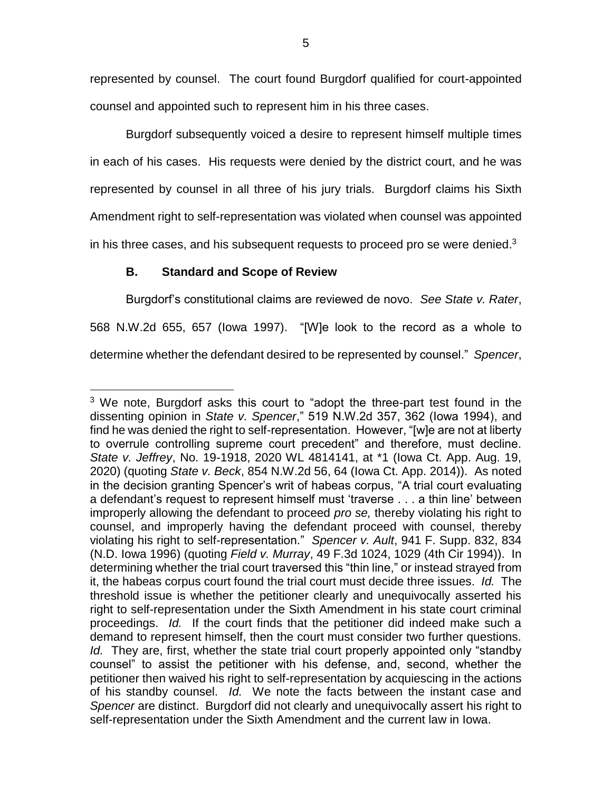represented by counsel. The court found Burgdorf qualified for court-appointed counsel and appointed such to represent him in his three cases.

Burgdorf subsequently voiced a desire to represent himself multiple times in each of his cases. His requests were denied by the district court, and he was represented by counsel in all three of his jury trials. Burgdorf claims his Sixth Amendment right to self-representation was violated when counsel was appointed in his three cases, and his subsequent requests to proceed pro se were denied. $3$ 

# **B. Standard and Scope of Review**

 $\overline{a}$ 

Burgdorf's constitutional claims are reviewed de novo. *See State v. Rater*, 568 N.W.2d 655, 657 (Iowa 1997). "[W]e look to the record as a whole to determine whether the defendant desired to be represented by counsel." *Spencer*,

 $3$  We note, Burgdorf asks this court to "adopt the three-part test found in the dissenting opinion in *State v. Spencer*," 519 N.W.2d 357, 362 (Iowa 1994), and find he was denied the right to self-representation. However, "[w]e are not at liberty to overrule controlling supreme court precedent" and therefore, must decline. *State v. Jeffrey*, No. 19-1918, 2020 WL 4814141, at \*1 (Iowa Ct. App. Aug. 19, 2020) (quoting *State v. Beck*, 854 N.W.2d 56, 64 (Iowa Ct. App. 2014)). As noted in the decision granting Spencer's writ of habeas corpus, "A trial court evaluating a defendant's request to represent himself must 'traverse . . . a thin line' between improperly allowing the defendant to proceed *pro se,* thereby violating his right to counsel, and improperly having the defendant proceed with counsel, thereby violating his right to self-representation." *Spencer v. Ault*, 941 F. Supp. 832, 834 (N.D. Iowa 1996) (quoting *Field v. Murray*, 49 F.3d 1024, 1029 (4th Cir 1994)). In determining whether the trial court traversed this "thin line," or instead strayed from it, the habeas corpus court found the trial court must decide three issues. *Id.* The threshold issue is whether the petitioner clearly and unequivocally asserted his right to self-representation under the Sixth Amendment in his state court criminal proceedings. *Id.* If the court finds that the petitioner did indeed make such a demand to represent himself, then the court must consider two further questions. *Id.* They are, first, whether the state trial court properly appointed only "standby counsel" to assist the petitioner with his defense, and, second, whether the petitioner then waived his right to self-representation by acquiescing in the actions of his standby counsel. *Id.* We note the facts between the instant case and *Spencer* are distinct. Burgdorf did not clearly and unequivocally assert his right to self-representation under the Sixth Amendment and the current law in Iowa.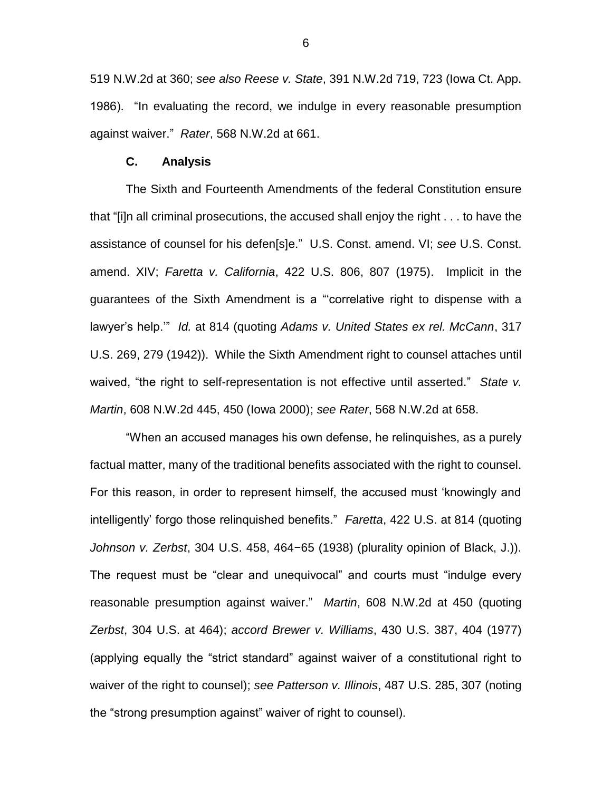519 N.W.2d at 360; *see also Reese v. State*, 391 N.W.2d 719, 723 (Iowa Ct. App. 1986). "In evaluating the record, we indulge in every reasonable presumption against waiver." *Rater*, 568 N.W.2d at 661.

#### **C. Analysis**

The Sixth and Fourteenth Amendments of the federal Constitution ensure that "[i]n all criminal prosecutions, the accused shall enjoy the right . . . to have the assistance of counsel for his defen[s]e." U.S. Const. amend. VI; *see* U.S. Const. amend. XIV; *Faretta v. California*, 422 U.S. 806, 807 (1975). Implicit in the guarantees of the Sixth Amendment is a "'correlative right to dispense with a lawyer's help.'" *Id.* at 814 (quoting *Adams v. United States ex rel. McCann*, 317 U.S. 269, 279 (1942)). While the Sixth Amendment right to counsel attaches until waived, "the right to self-representation is not effective until asserted." *State v. Martin*, 608 N.W.2d 445, 450 (Iowa 2000); *see Rater*, 568 N.W.2d at 658.

"When an accused manages his own defense, he relinquishes, as a purely factual matter, many of the traditional benefits associated with the right to counsel. For this reason, in order to represent himself, the accused must 'knowingly and intelligently' forgo those relinquished benefits." *Faretta*, 422 U.S. at 814 (quoting *Johnson v. Zerbst*, 304 U.S. 458, 464−65 (1938) (plurality opinion of Black, J.)). The request must be "clear and unequivocal" and courts must "indulge every reasonable presumption against waiver." *Martin*, 608 N.W.2d at 450 (quoting *Zerbst*, 304 U.S. at 464); *accord Brewer v. Williams*, 430 U.S. 387, 404 (1977) (applying equally the "strict standard" against waiver of a constitutional right to waiver of the right to counsel); *see Patterson v. Illinois*, 487 U.S. 285, 307 (noting the "strong presumption against" waiver of right to counsel).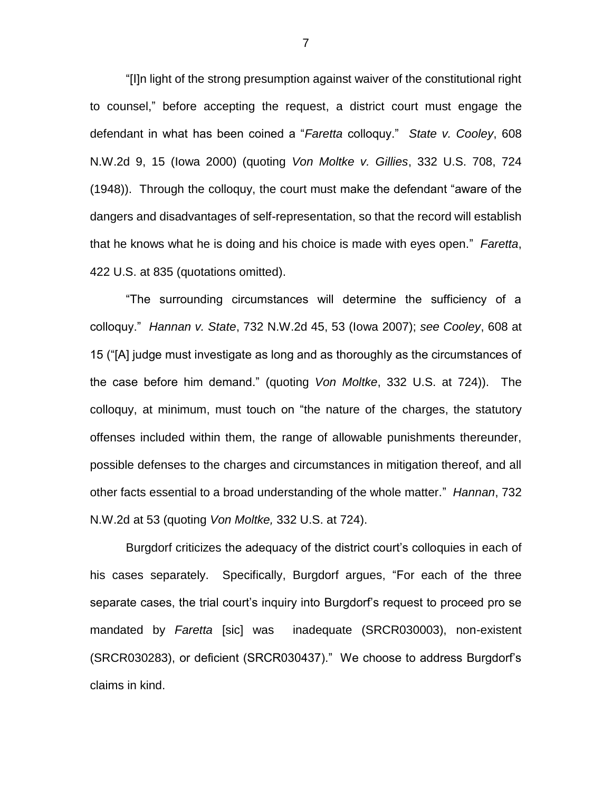"[I]n light of the strong presumption against waiver of the constitutional right to counsel," before accepting the request, a district court must engage the defendant in what has been coined a "*Faretta* colloquy." *State v. Cooley*, 608 N.W.2d 9, 15 (Iowa 2000) (quoting *Von Moltke v. Gillies*, 332 U.S. 708, 724 (1948)). Through the colloquy, the court must make the defendant "aware of the dangers and disadvantages of self-representation, so that the record will establish that he knows what he is doing and his choice is made with eyes open." *Faretta*, 422 U.S. at 835 (quotations omitted).

"The surrounding circumstances will determine the sufficiency of a colloquy." *Hannan v. State*, 732 N.W.2d 45, 53 (Iowa 2007); *see Cooley*, 608 at 15 ("[A] judge must investigate as long and as thoroughly as the circumstances of the case before him demand." (quoting *Von Moltke*, 332 U.S. at 724)). The colloquy, at minimum, must touch on "the nature of the charges, the statutory offenses included within them, the range of allowable punishments thereunder, possible defenses to the charges and circumstances in mitigation thereof, and all other facts essential to a broad understanding of the whole matter." *Hannan*, 732 N.W.2d at 53 (quoting *Von Moltke,* 332 U.S. at 724).

Burgdorf criticizes the adequacy of the district court's colloquies in each of his cases separately. Specifically, Burgdorf argues, "For each of the three separate cases, the trial court's inquiry into Burgdorf's request to proceed pro se mandated by *Faretta* [sic] was inadequate (SRCR030003), non-existent (SRCR030283), or deficient (SRCR030437)." We choose to address Burgdorf's claims in kind.

7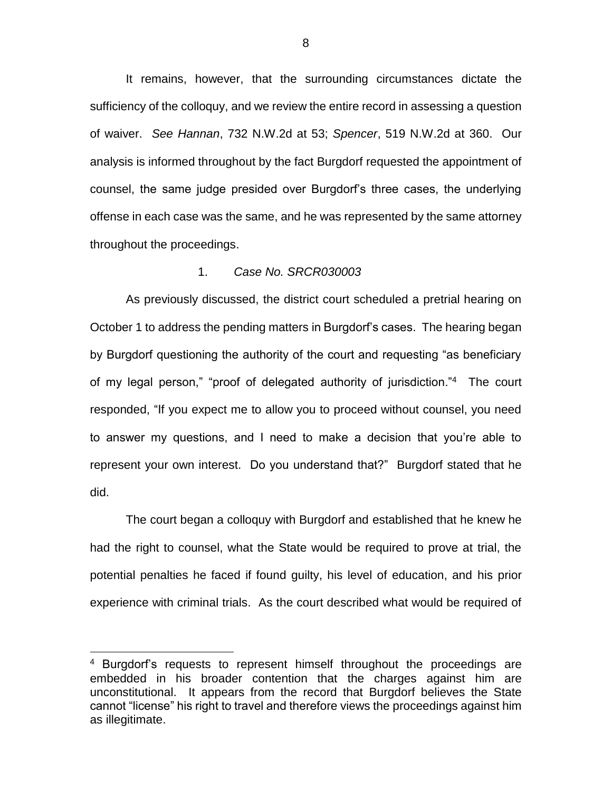It remains, however, that the surrounding circumstances dictate the sufficiency of the colloquy, and we review the entire record in assessing a question of waiver. *See Hannan*, 732 N.W.2d at 53; *Spencer*, 519 N.W.2d at 360. Our analysis is informed throughout by the fact Burgdorf requested the appointment of counsel, the same judge presided over Burgdorf's three cases, the underlying offense in each case was the same, and he was represented by the same attorney throughout the proceedings.

### 1. *Case No. SRCR030003*

As previously discussed, the district court scheduled a pretrial hearing on October 1 to address the pending matters in Burgdorf's cases. The hearing began by Burgdorf questioning the authority of the court and requesting "as beneficiary of my legal person," "proof of delegated authority of jurisdiction."<sup>4</sup> The court responded, "If you expect me to allow you to proceed without counsel, you need to answer my questions, and I need to make a decision that you're able to represent your own interest. Do you understand that?" Burgdorf stated that he did.

The court began a colloquy with Burgdorf and established that he knew he had the right to counsel, what the State would be required to prove at trial, the potential penalties he faced if found guilty, his level of education, and his prior experience with criminal trials. As the court described what would be required of

 $\overline{a}$ 

<sup>4</sup> Burgdorf's requests to represent himself throughout the proceedings are embedded in his broader contention that the charges against him are unconstitutional. It appears from the record that Burgdorf believes the State cannot "license" his right to travel and therefore views the proceedings against him as illegitimate.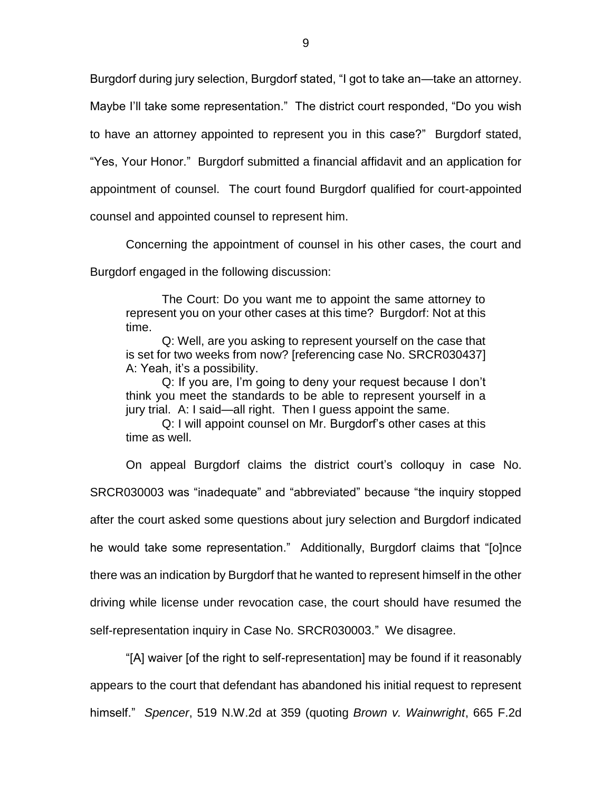Burgdorf during jury selection, Burgdorf stated, "I got to take an—take an attorney.

Maybe I'll take some representation." The district court responded, "Do you wish

to have an attorney appointed to represent you in this case?" Burgdorf stated,

"Yes, Your Honor." Burgdorf submitted a financial affidavit and an application for

appointment of counsel. The court found Burgdorf qualified for court-appointed

counsel and appointed counsel to represent him.

Concerning the appointment of counsel in his other cases, the court and

Burgdorf engaged in the following discussion:

The Court: Do you want me to appoint the same attorney to represent you on your other cases at this time? Burgdorf: Not at this time.

Q: Well, are you asking to represent yourself on the case that is set for two weeks from now? [referencing case No. SRCR030437] A: Yeah, it's a possibility.

Q: If you are, I'm going to deny your request because I don't think you meet the standards to be able to represent yourself in a jury trial. A: I said—all right. Then I guess appoint the same.

Q: I will appoint counsel on Mr. Burgdorf's other cases at this time as well.

On appeal Burgdorf claims the district court's colloquy in case No. SRCR030003 was "inadequate" and "abbreviated" because "the inquiry stopped after the court asked some questions about jury selection and Burgdorf indicated he would take some representation." Additionally, Burgdorf claims that "[o]nce there was an indication by Burgdorf that he wanted to represent himself in the other driving while license under revocation case, the court should have resumed the self-representation inquiry in Case No. SRCR030003." We disagree.

"[A] waiver [of the right to self-representation] may be found if it reasonably appears to the court that defendant has abandoned his initial request to represent himself." *Spencer*, 519 N.W.2d at 359 (quoting *Brown v. Wainwright*, 665 F.2d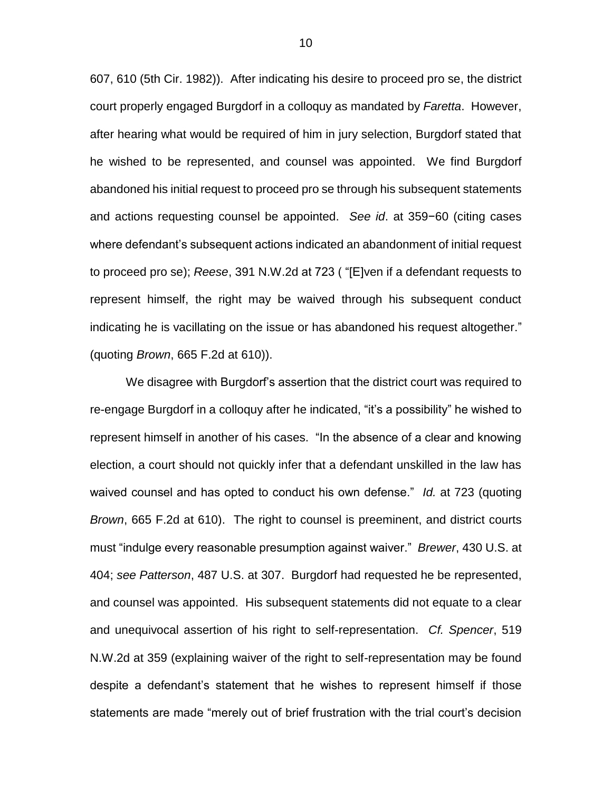607, 610 (5th Cir. 1982)). After indicating his desire to proceed pro se, the district court properly engaged Burgdorf in a colloquy as mandated by *Faretta*. However, after hearing what would be required of him in jury selection, Burgdorf stated that he wished to be represented, and counsel was appointed. We find Burgdorf abandoned his initial request to proceed pro se through his subsequent statements and actions requesting counsel be appointed. *See id*. at 359−60 (citing cases where defendant's subsequent actions indicated an abandonment of initial request to proceed pro se); *Reese*, 391 N.W.2d at 723 ( "[E]ven if a defendant requests to represent himself, the right may be waived through his subsequent conduct indicating he is vacillating on the issue or has abandoned his request altogether." (quoting *Brown*, 665 F.2d at 610)).

We disagree with Burgdorf's assertion that the district court was required to re-engage Burgdorf in a colloquy after he indicated, "it's a possibility" he wished to represent himself in another of his cases. "In the absence of a clear and knowing election, a court should not quickly infer that a defendant unskilled in the law has waived counsel and has opted to conduct his own defense." *Id.* at 723 (quoting *Brown*, 665 F.2d at 610). The right to counsel is preeminent, and district courts must "indulge every reasonable presumption against waiver." *Brewer*, 430 U.S. at 404; *see Patterson*, 487 U.S. at 307. Burgdorf had requested he be represented, and counsel was appointed. His subsequent statements did not equate to a clear and unequivocal assertion of his right to self-representation. *Cf. Spencer*, 519 N.W.2d at 359 (explaining waiver of the right to self-representation may be found despite a defendant's statement that he wishes to represent himself if those statements are made "merely out of brief frustration with the trial court's decision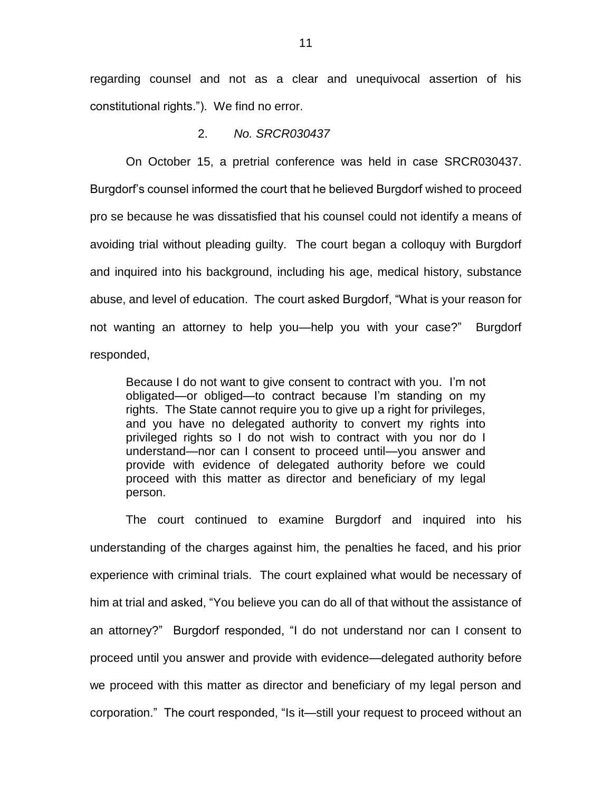regarding counsel and not as a clear and unequivocal assertion of his constitutional rights."). We find no error.

2. *No. SRCR030437*

On October 15, a pretrial conference was held in case SRCR030437. Burgdorf's counsel informed the court that he believed Burgdorf wished to proceed pro se because he was dissatisfied that his counsel could not identify a means of avoiding trial without pleading guilty. The court began a colloquy with Burgdorf and inquired into his background, including his age, medical history, substance abuse, and level of education. The court asked Burgdorf, "What is your reason for not wanting an attorney to help you—help you with your case?" Burgdorf responded,

Because I do not want to give consent to contract with you. I'm not obligated—or obliged—to contract because I'm standing on my rights. The State cannot require you to give up a right for privileges, and you have no delegated authority to convert my rights into privileged rights so I do not wish to contract with you nor do I understand—nor can I consent to proceed until—you answer and provide with evidence of delegated authority before we could proceed with this matter as director and beneficiary of my legal person.

The court continued to examine Burgdorf and inquired into his understanding of the charges against him, the penalties he faced, and his prior experience with criminal trials. The court explained what would be necessary of him at trial and asked, "You believe you can do all of that without the assistance of an attorney?" Burgdorf responded, "I do not understand nor can I consent to proceed until you answer and provide with evidence—delegated authority before we proceed with this matter as director and beneficiary of my legal person and corporation." The court responded, "Is it—still your request to proceed without an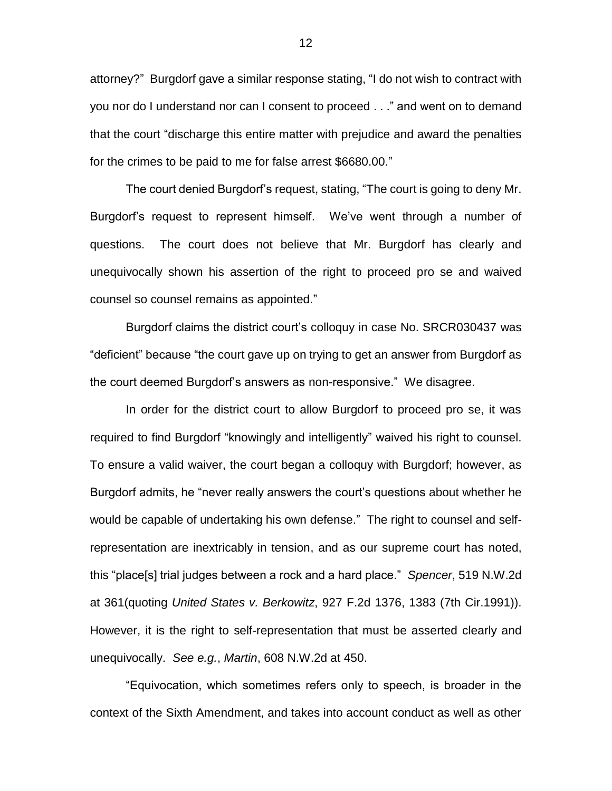attorney?" Burgdorf gave a similar response stating, "I do not wish to contract with you nor do I understand nor can I consent to proceed . . ." and went on to demand that the court "discharge this entire matter with prejudice and award the penalties for the crimes to be paid to me for false arrest \$6680.00."

The court denied Burgdorf's request, stating, "The court is going to deny Mr. Burgdorf's request to represent himself. We've went through a number of questions. The court does not believe that Mr. Burgdorf has clearly and unequivocally shown his assertion of the right to proceed pro se and waived counsel so counsel remains as appointed."

Burgdorf claims the district court's colloquy in case No. SRCR030437 was "deficient" because "the court gave up on trying to get an answer from Burgdorf as the court deemed Burgdorf's answers as non-responsive." We disagree.

In order for the district court to allow Burgdorf to proceed pro se, it was required to find Burgdorf "knowingly and intelligently" waived his right to counsel. To ensure a valid waiver, the court began a colloquy with Burgdorf; however, as Burgdorf admits, he "never really answers the court's questions about whether he would be capable of undertaking his own defense." The right to counsel and selfrepresentation are inextricably in tension, and as our supreme court has noted, this "place[s] trial judges between a rock and a hard place." *Spencer*, 519 N.W.2d at 361(quoting *United States v. Berkowitz*, 927 F.2d 1376, 1383 (7th Cir.1991)). However, it is the right to self-representation that must be asserted clearly and unequivocally. *See e.g.*, *Martin*, 608 N.W.2d at 450.

"Equivocation, which sometimes refers only to speech, is broader in the context of the Sixth Amendment, and takes into account conduct as well as other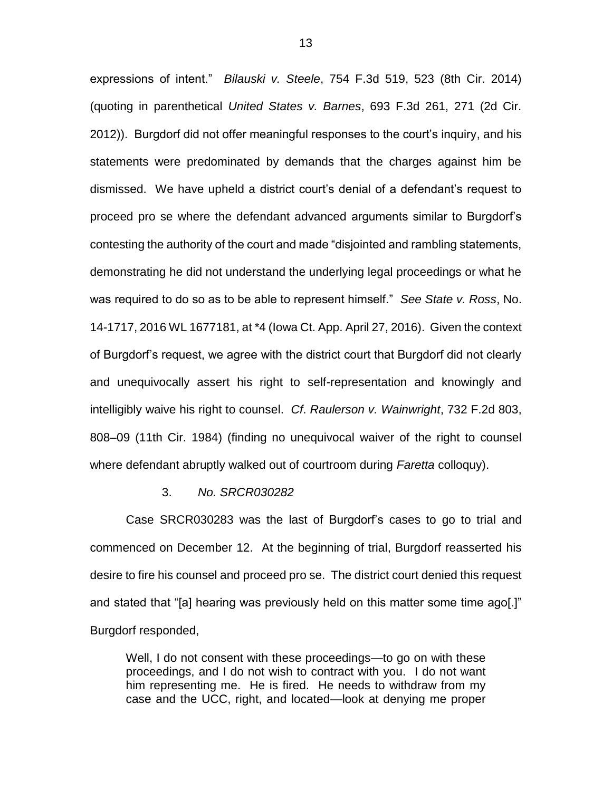expressions of intent." *Bilauski v. Steele*, 754 F.3d 519, 523 (8th Cir. 2014) (quoting in parenthetical *United States v. Barnes*, 693 F.3d 261, 271 (2d Cir. 2012)). Burgdorf did not offer meaningful responses to the court's inquiry, and his statements were predominated by demands that the charges against him be dismissed. We have upheld a district court's denial of a defendant's request to proceed pro se where the defendant advanced arguments similar to Burgdorf's contesting the authority of the court and made "disjointed and rambling statements, demonstrating he did not understand the underlying legal proceedings or what he was required to do so as to be able to represent himself." *See State v. Ross*, No. 14-1717, 2016 WL 1677181, at \*4 (Iowa Ct. App. April 27, 2016). Given the context of Burgdorf's request, we agree with the district court that Burgdorf did not clearly and unequivocally assert his right to self-representation and knowingly and intelligibly waive his right to counsel. *Cf*. *Raulerson v. Wainwright*, 732 F.2d 803, 808–09 (11th Cir. 1984) (finding no unequivocal waiver of the right to counsel where defendant abruptly walked out of courtroom during *Faretta* colloquy).

#### 3. *No. SRCR030282*

Case SRCR030283 was the last of Burgdorf's cases to go to trial and commenced on December 12. At the beginning of trial, Burgdorf reasserted his desire to fire his counsel and proceed pro se. The district court denied this request and stated that "[a] hearing was previously held on this matter some time ago[.]" Burgdorf responded,

Well, I do not consent with these proceedings—to go on with these proceedings, and I do not wish to contract with you. I do not want him representing me. He is fired. He needs to withdraw from my case and the UCC, right, and located—look at denying me proper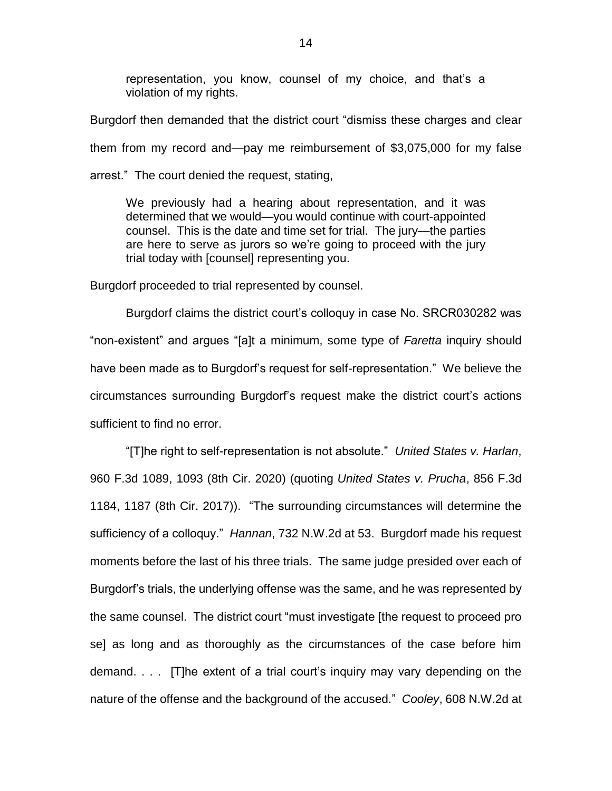representation, you know, counsel of my choice, and that's a violation of my rights.

Burgdorf then demanded that the district court "dismiss these charges and clear them from my record and—pay me reimbursement of \$3,075,000 for my false arrest." The court denied the request, stating,

We previously had a hearing about representation, and it was determined that we would—you would continue with court-appointed counsel. This is the date and time set for trial. The jury—the parties are here to serve as jurors so we're going to proceed with the jury trial today with [counsel] representing you.

Burgdorf proceeded to trial represented by counsel.

Burgdorf claims the district court's colloquy in case No. SRCR030282 was "non-existent" and argues "[a]t a minimum, some type of *Faretta* inquiry should have been made as to Burgdorf's request for self-representation." We believe the circumstances surrounding Burgdorf's request make the district court's actions sufficient to find no error.

"[T]he right to self-representation is not absolute." *United States v. Harlan*, 960 F.3d 1089, 1093 (8th Cir. 2020) (quoting *United States v. Prucha*, 856 F.3d 1184, 1187 (8th Cir. 2017)). "The surrounding circumstances will determine the sufficiency of a colloquy." *Hannan*, 732 N.W.2d at 53. Burgdorf made his request moments before the last of his three trials. The same judge presided over each of Burgdorf's trials, the underlying offense was the same, and he was represented by the same counsel. The district court "must investigate [the request to proceed pro se] as long and as thoroughly as the circumstances of the case before him demand. . . . [T]he extent of a trial court's inquiry may vary depending on the nature of the offense and the background of the accused." *Cooley*, 608 N.W.2d at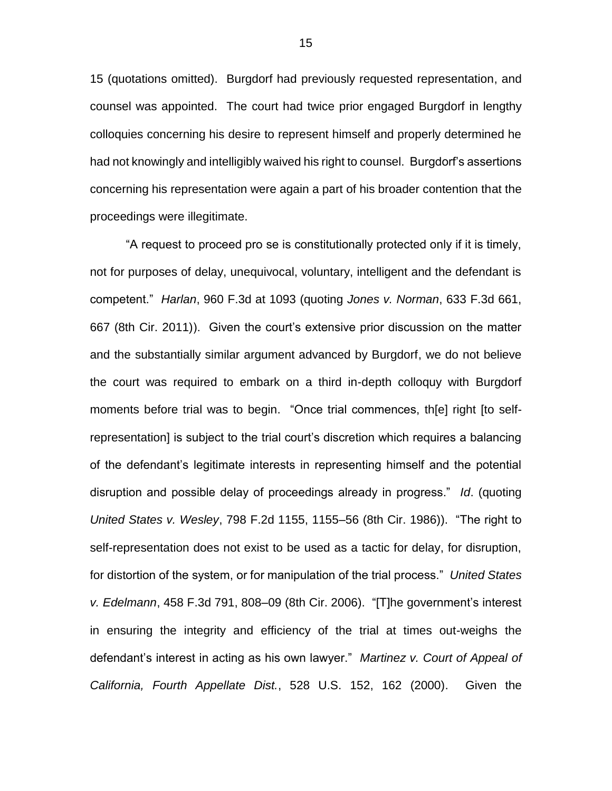15 (quotations omitted). Burgdorf had previously requested representation, and counsel was appointed. The court had twice prior engaged Burgdorf in lengthy colloquies concerning his desire to represent himself and properly determined he had not knowingly and intelligibly waived his right to counsel. Burgdorf's assertions concerning his representation were again a part of his broader contention that the proceedings were illegitimate.

"A request to proceed pro se is constitutionally protected only if it is timely, not for purposes of delay, unequivocal, voluntary, intelligent and the defendant is competent." *Harlan*, 960 F.3d at 1093 (quoting *Jones v. Norman*, 633 F.3d 661, 667 (8th Cir. 2011)). Given the court's extensive prior discussion on the matter and the substantially similar argument advanced by Burgdorf, we do not believe the court was required to embark on a third in-depth colloquy with Burgdorf moments before trial was to begin. "Once trial commences, th[e] right [to selfrepresentation] is subject to the trial court's discretion which requires a balancing of the defendant's legitimate interests in representing himself and the potential disruption and possible delay of proceedings already in progress." *Id*. (quoting *United States v. Wesley*, 798 F.2d 1155, 1155–56 (8th Cir. 1986)). "The right to self-representation does not exist to be used as a tactic for delay, for disruption, for distortion of the system, or for manipulation of the trial process." *United States v. Edelmann*, 458 F.3d 791, 808–09 (8th Cir. 2006). "[T]he government's interest in ensuring the integrity and efficiency of the trial at times out-weighs the defendant's interest in acting as his own lawyer." *Martinez v. Court of Appeal of California, Fourth Appellate Dist.*, 528 U.S. 152, 162 (2000). Given the

15